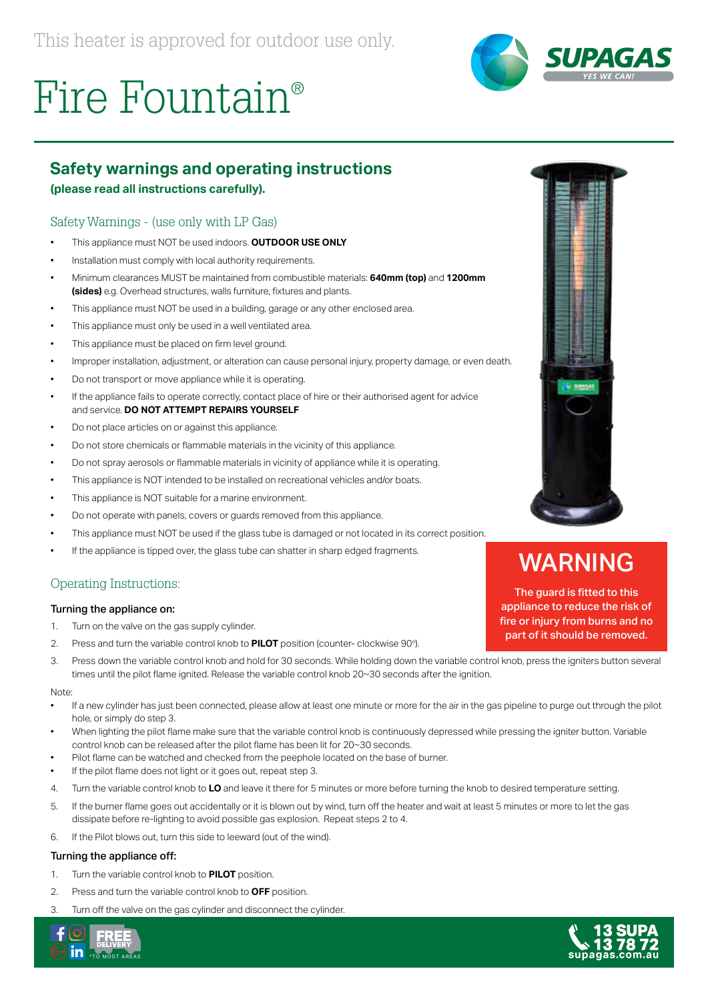



### **Safety warnings and operating instructions**

#### **(please read all instructions carefully).**

#### Safety Warnings - (use only with LP Gas)

- This appliance must NOT be used indoors. **OUTDOOR USE ONLY**
- Installation must comply with local authority requirements.
- Minimum clearances MUST be maintained from combustible materials: **640mm (top)** and **1200mm (sides)** e.g. Overhead structures, walls furniture, fixtures and plants.
- This appliance must NOT be used in a building, garage or any other enclosed area.
- This appliance must only be used in a well ventilated area.
- This appliance must be placed on firm level ground.
- Improper installation, adjustment, or alteration can cause personal injury, property damage, or even death.
- Do not transport or move appliance while it is operating.
- If the appliance fails to operate correctly, contact place of hire or their authorised agent for advice and service. **DO NOT ATTEMPT REPAIRS YOURSELF**
- Do not place articles on or against this appliance.
- Do not store chemicals or flammable materials in the vicinity of this appliance.
- Do not spray aerosols or flammable materials in vicinity of appliance while it is operating.
- This appliance is NOT intended to be installed on recreational vehicles and/or boats.
- This appliance is NOT suitable for a marine environment.
- Do not operate with panels, covers or guards removed from this appliance.
- This appliance must NOT be used if the glass tube is damaged or not located in its correct position.
- If the appliance is tipped over, the glass tube can shatter in sharp edged fragments.

#### Operating Instructions:

#### Turning the appliance on:

- 1. Turn on the valve on the gas supply cylinder.
- 2. Press and turn the variable control knob to **PILOT** position (counter- clockwise 90°).
- 3. Press down the variable control knob and hold for 30 seconds. While holding down the variable control knob, press the igniters button several times until the pilot flame ignited. Release the variable control knob 20~30 seconds after the ignition.

Note:

- If a new cylinder has just been connected, please allow at least one minute or more for the air in the gas pipeline to purge out through the pilot hole, or simply do step 3.
- When lighting the pilot flame make sure that the variable control knob is continuously depressed while pressing the igniter button. Variable control knob can be released after the pilot flame has been lit for 20~30 seconds.
- Pilot flame can be watched and checked from the peephole located on the base of burner.
- If the pilot flame does not light or it goes out, repeat step 3.
- 4. Turn the variable control knob to **LO** and leave it there for 5 minutes or more before turning the knob to desired temperature setting.
- 5. If the burner flame goes out accidentally or it is blown out by wind, turn off the heater and wait at least 5 minutes or more to let the gas dissipate before re-lighting to avoid possible gas explosion. Repeat steps 2 to 4.
- 6. If the Pilot blows out, turn this side to leeward (out of the wind).

#### Turning the appliance off:

- 1. Turn the variable control knob to **PILOT** position.
- 2. Press and turn the variable control knob to **OFF** position.
- 3. Turn off the valve on the gas cylinder and disconnect the cylinder.





## WARNING

The guard is fitted to this appliance to reduce the risk of fire or injury from burns and no part of it should be removed.